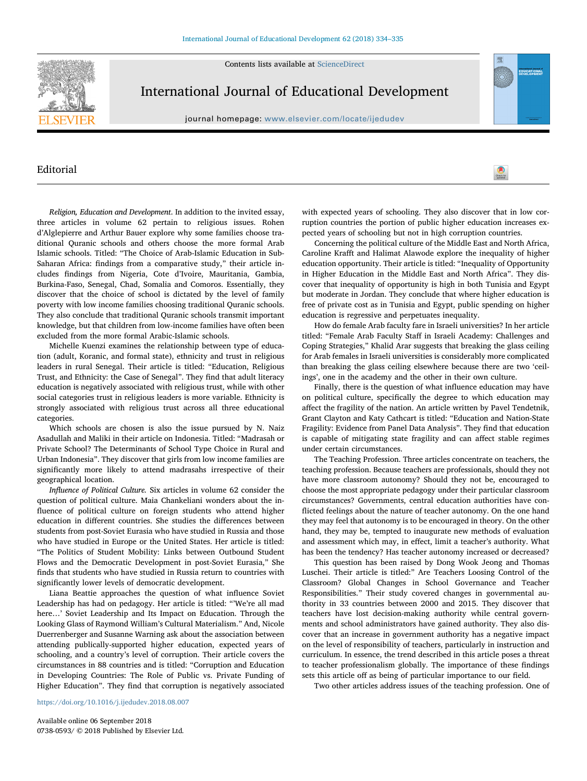Contents lists available at [ScienceDirect](http://www.sciencedirect.com/science/journal/07380593)



## International Journal of Educational Development

journal homepage: [www.elsevier.com/locate/ijedudev](https://www.elsevier.com/locate/ijedudev)

## Editorial

Religion, Education and Development. In addition to the invited essay, three articles in volume 62 pertain to religious issues. Rohen d'Alglepierre and Arthur Bauer explore why some families choose traditional Quranic schools and others choose the more formal Arab Islamic schools. Titled: "The Choice of Arab-Islamic Education in Sub-Saharan Africa: findings from a comparative study," their article includes findings from Nigeria, Cote d'Ivoire, Mauritania, Gambia, Burkina-Faso, Senegal, Chad, Somalia and Comoros. Essentially, they discover that the choice of school is dictated by the level of family poverty with low income families choosing traditional Quranic schools. They also conclude that traditional Quranic schools transmit important knowledge, but that children from low-income families have often been excluded from the more formal Arabic-Islamic schools.

Michelle Kuenzi examines the relationship between type of education (adult, Koranic, and formal state), ethnicity and trust in religious leaders in rural Senegal. Their article is titled: "Education, Religious Trust, and Ethnicity: the Case of Senegal". They find that adult literacy education is negatively associated with religious trust, while with other social categories trust in religious leaders is more variable. Ethnicity is strongly associated with religious trust across all three educational categories.

Which schools are chosen is also the issue pursued by N. Naiz Asadullah and Maliki in their article on Indonesia. Titled: "Madrasah or Private School? The Determinants of School Type Choice in Rural and Urban Indonesia". They discover that girls from low income families are significantly more likely to attend madrasahs irrespective of their geographical location.

Influence of Political Culture. Six articles in volume 62 consider the question of political culture. Maia Chankeliani wonders about the influence of political culture on foreign students who attend higher education in different countries. She studies the differences between students from post-Soviet Eurasia who have studied in Russia and those who have studied in Europe or the United States. Her article is titled: "The Politics of Student Mobility: Links between Outbound Student Flows and the Democratic Development in post-Soviet Eurasia," She finds that students who have studied in Russia return to countries with significantly lower levels of democratic development.

Liana Beattie approaches the question of what influence Soviet Leadership has had on pedagogy. Her article is titled: "'We're all mad here…' Soviet Leadership and Its Impact on Education. Through the Looking Glass of Raymond William's Cultural Materialism." And, Nicole Duerrenberger and Susanne Warning ask about the association between attending publically-supported higher education, expected years of schooling, and a country's level of corruption. Their article covers the circumstances in 88 countries and is titled: "Corruption and Education in Developing Countries: The Role of Public vs. Private Funding of Higher Education". They find that corruption is negatively associated

with expected years of schooling. They also discover that in low corruption countries the portion of public higher education increases expected years of schooling but not in high corruption countries.

Check for

Concerning the political culture of the Middle East and North Africa, Caroline Krafft and Halimat Alawode explore the inequality of higher education opportunity. Their article is titled: "Inequality of Opportunity in Higher Education in the Middle East and North Africa". They discover that inequality of opportunity is high in both Tunisia and Egypt but moderate in Jordan. They conclude that where higher education is free of private cost as in Tunisia and Egypt, public spending on higher education is regressive and perpetuates inequality.

How do female Arab faculty fare in Israeli universities? In her article titled: "Female Arab Faculty Staff in Israeli Academy: Challenges and Coping Strategies," Khalid Arar suggests that breaking the glass ceiling for Arab females in Israeli universities is considerably more complicated than breaking the glass ceiling elsewhere because there are two 'ceilings', one in the academy and the other in their own culture.

Finally, there is the question of what influence education may have on political culture, specifically the degree to which education may affect the fragility of the nation. An article written by Pavel Tendetnik, Grant Clayton and Katy Cathcart is titled: "Education and Nation-State Fragility: Evidence from Panel Data Analysis". They find that education is capable of mitigating state fragility and can affect stable regimes under certain circumstances.

The Teaching Profession. Three articles concentrate on teachers, the teaching profession. Because teachers are professionals, should they not have more classroom autonomy? Should they not be, encouraged to choose the most appropriate pedagogy under their particular classroom circumstances? Governments, central education authorities have conflicted feelings about the nature of teacher autonomy. On the one hand they may feel that autonomy is to be encouraged in theory. On the other hand, they may be, tempted to inaugurate new methods of evaluation and assessment which may, in effect, limit a teacher's authority. What has been the tendency? Has teacher autonomy increased or decreased?

This question has been raised by Dong Wook Jeong and Thomas Luschei. Their article is titled:" Are Teachers Loosing Control of the Classroom? Global Changes in School Governance and Teacher Responsibilities." Their study covered changes in governmental authority in 33 countries between 2000 and 2015. They discover that teachers have lost decision-making authority while central governments and school administrators have gained authority. They also discover that an increase in government authority has a negative impact on the level of responsibility of teachers, particularly in instruction and curriculum. In essence, the trend described in this article poses a threat to teacher professionalism globally. The importance of these findings sets this article off as being of particular importance to our field.

Two other articles address issues of the teaching profession. One of

Available online 06 September 2018 0738-0593/ © 2018 Published by Elsevier Ltd.